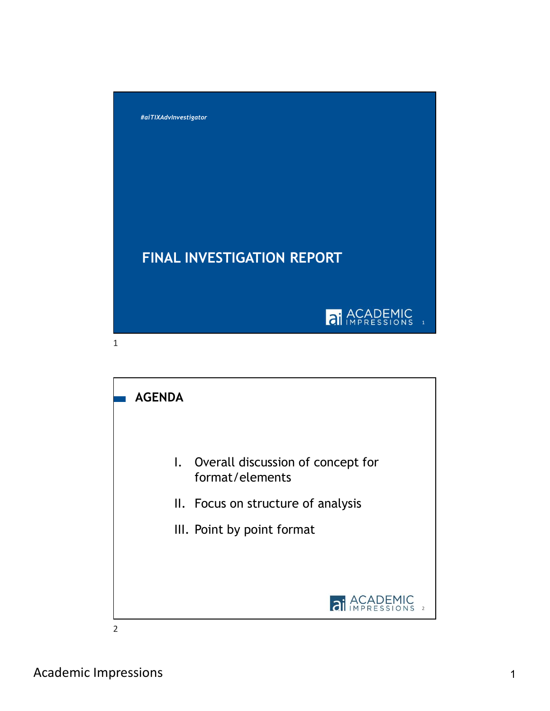



Academic Impressions 1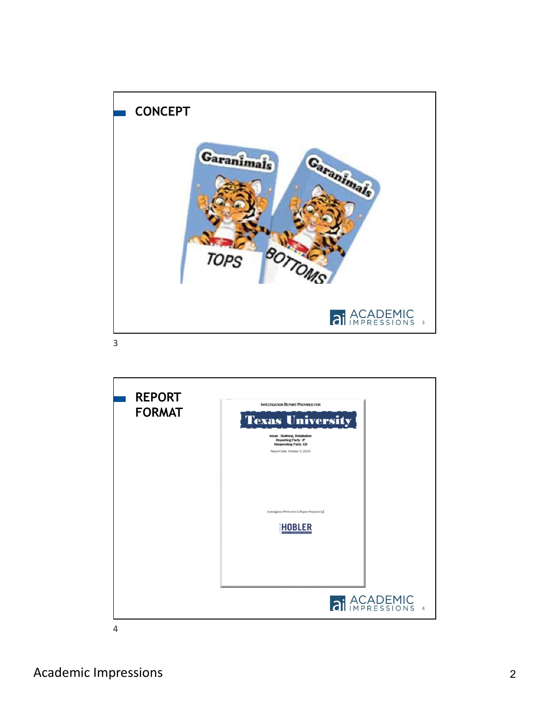

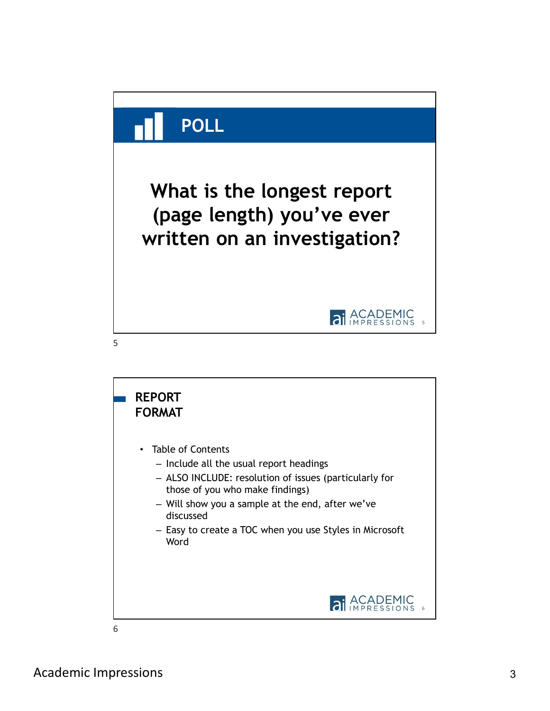

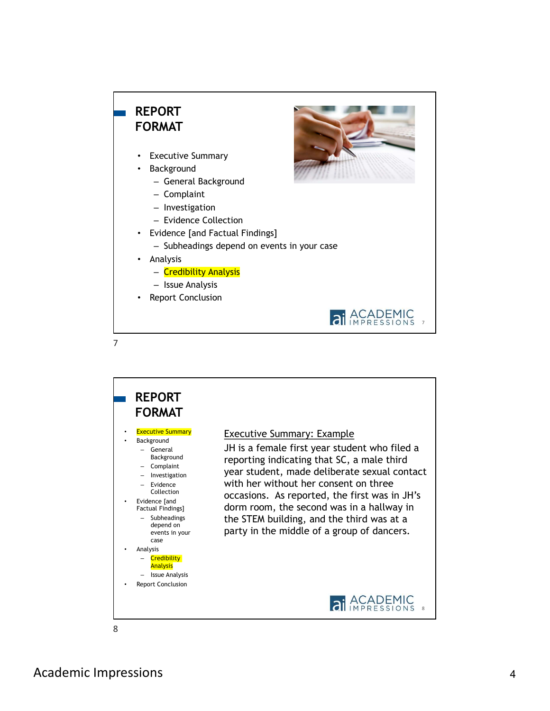# REPORT FORMAT

- **Executive Summary**
- **Background** 
	- General Background
	- Complaint
	- Investigation
	- Evidence Collection
- Evidence [and Factual Findings]
	- Subheadings depend on events in your case
- Analysis
	- Credibility Analysis
	- Issue Analysis
- Report Conclusion



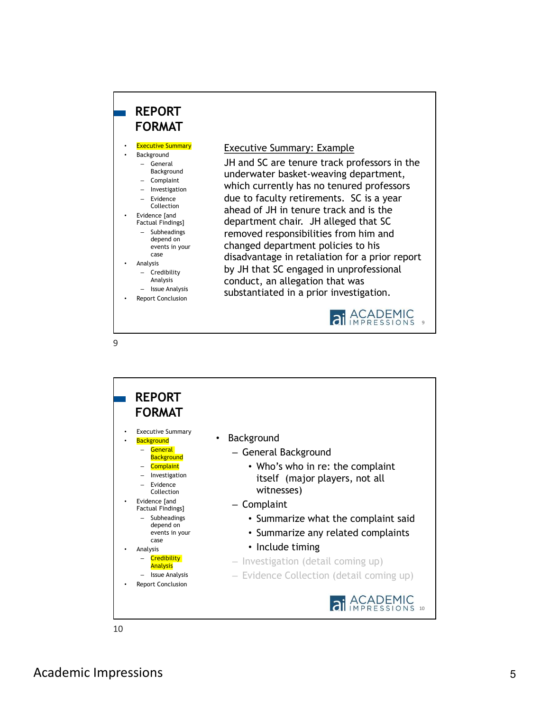# REPORT FORMAT

- **Background**
- Background
- 
- 
- 
- Evidence [and<br>Factual Findings]
	- depend on<br>events in your
	-
- -
	-

9

Report Conclusion

## • Executive Summary **Executive Summary: Example** Example

JH and SC are tenure track professors in the – General underwater basket-weaving department, - Complaint<br>
- Investigation **Which currently has no tenured professors** due to faculty retirements. SC is a year – Evidence Collection **ahead of JH** in tenure track and is the department chair. JH alleged that SC Factual Findings] removed responsibilities from him and – Subheadings changed department policies to his events in your continged department policies to his<br>case disadvantage in retaliation for a prior report  $\begin{array}{c} \text{Analysis} \\ - \text{Credibility} \end{array}$  by JH that SC engaged in unprofessional Analysis **Example 2 conduct, an allegation that was** - Issue Analysis **Substantiated in a prior investigation.** – Investigation **WILLOR COLLETICLY TIOS TIO LETT** – Credibility – Dy JIT LITAL SC ETTBY



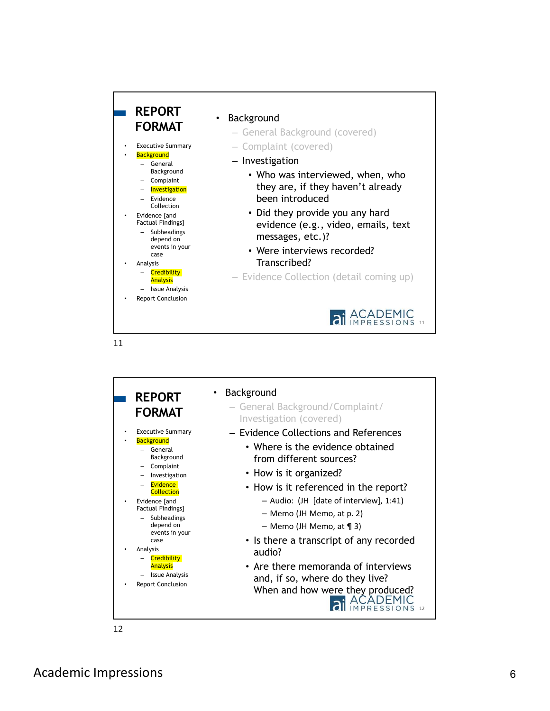

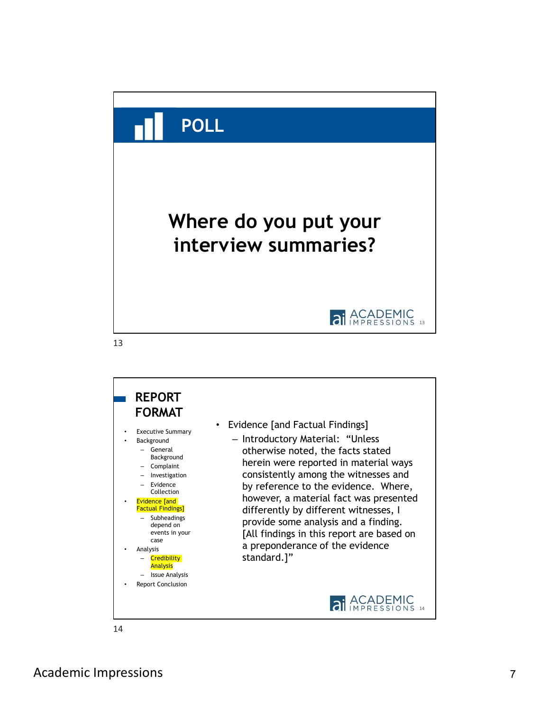

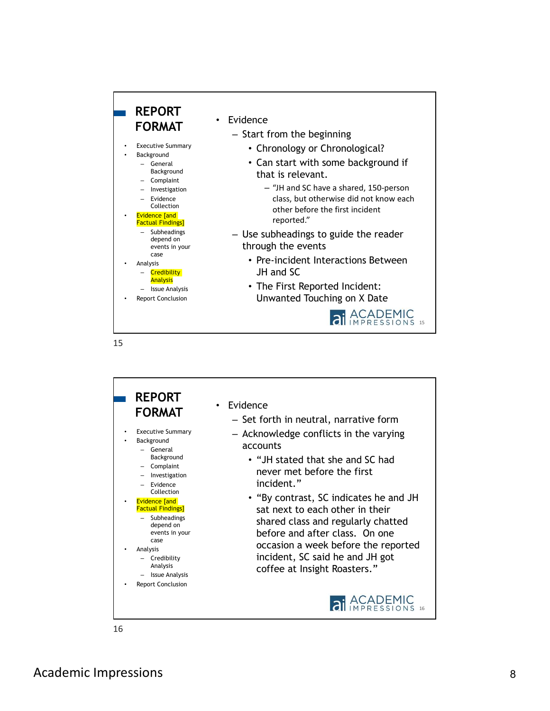

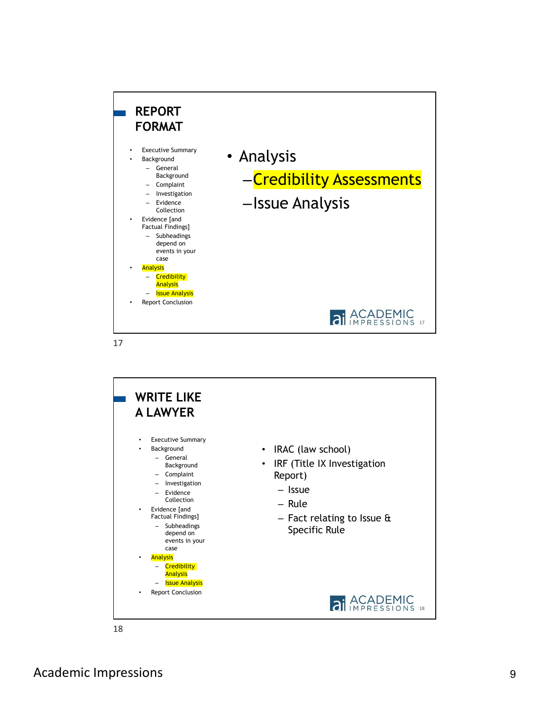

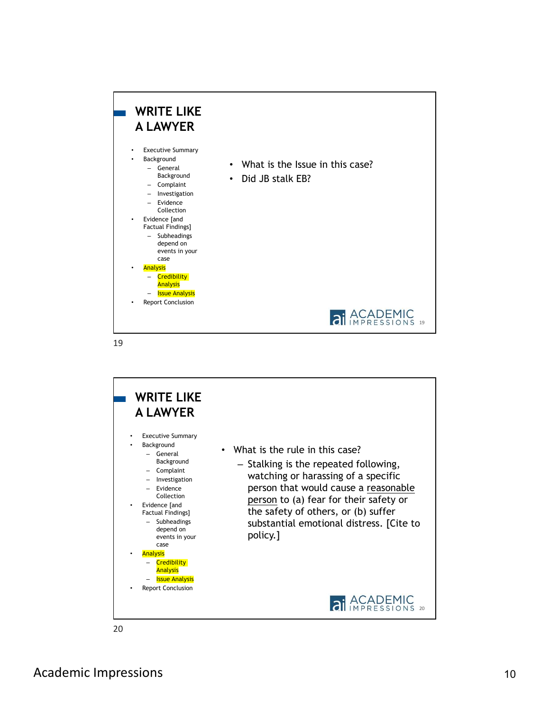

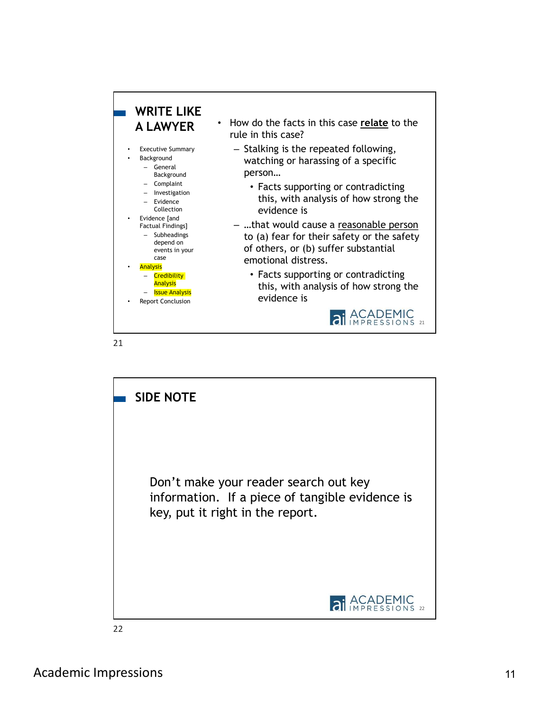

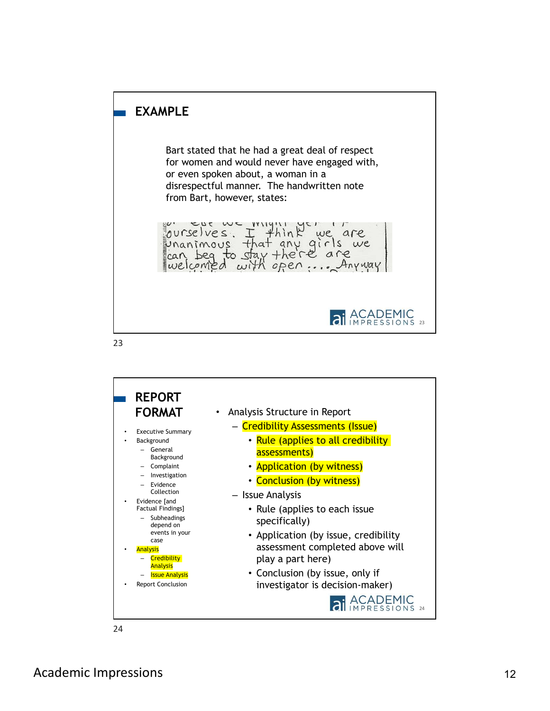